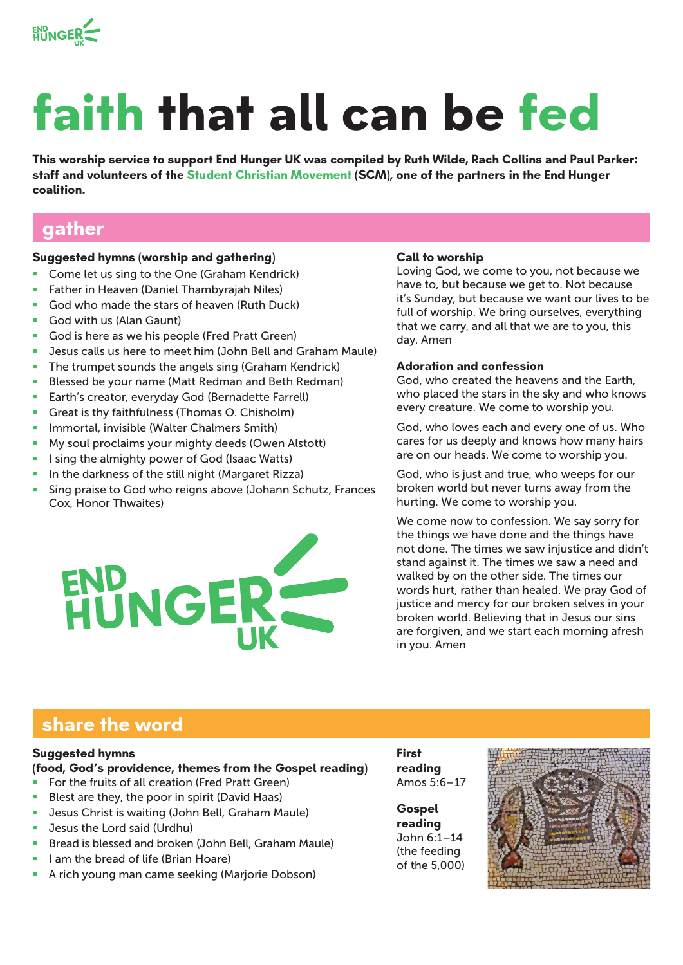

# **faith that all can be fed**

**This worship service to support End Hunger UK was compiled by Ruth Wilde, Rach Collins and Paul Parker: staff and volunteers of the Student Christian Movement (SCM), one of the partners in the End Hunger coalition.** 

## **gather**

## **Suggested hymns (worship and gathering)**

- Come let us sing to the One (Graham Kendrick)
- Father in Heaven (Daniel Thambyrajah Niles)
- God who made the stars of heaven (Ruth Duck)
- God with us (Alan Gaunt)
- God is here as we his people (Fred Pratt Green)
- Jesus calls us here to meet him (John Bell and Graham Maule)
- **The trumpet sounds the angels sing (Graham Kendrick)**
- **Blessed be your name (Matt Redman and Beth Redman)**
- **Earth's creator, everyday God (Bernadette Farrell)**
- Great is thy faithfulness (Thomas O. Chisholm)
- Immortal, invisible (Walter Chalmers Smith)
- My soul proclaims your mighty deeds (Owen Alstott)
- I sing the almighty power of God (Isaac Watts)
- In the darkness of the still night (Margaret Rizza)
- Sing praise to God who reigns above (Johann Schutz, Frances Cox, Honor Thwaites)



#### **Call to worship**

Loving God, we come to you, not because we have to, but because we get to. Not because it's Sunday, but because we want our lives to be full of worship. We bring ourselves, everything that we carry, and all that we are to you, this day. Amen

### **Adoration and confession**

God, who created the heavens and the Earth, who placed the stars in the sky and who knows every creature. We come to worship you.

God, who loves each and every one of us. Who cares for us deeply and knows how many hairs are on our heads. We come to worship you.

God, who is just and true, who weeps for our broken world but never turns away from the hurting. We come to worship you.

We come now to confession. We say sorry for the things we have done and the things have not done. The times we saw injustice and didn't stand against it. The times we saw a need and walked by on the other side. The times our words hurt, rather than healed. We pray God of justice and mercy for our broken selves in your broken world. Believing that in Jesus our sins are forgiven, and we start each morning afresh in you. Amen

# **share the word**

## **Suggested hymns**

#### **(food, God's providence, themes from the Gospel reading)**

- For the fruits of all creation (Fred Pratt Green)
- Blest are they, the poor in spirit (David Haas)
- **Jesus Christ is waiting (John Bell, Graham Maule)**
- **Jesus the Lord said (Urdhu)**
- Bread is blessed and broken (John Bell, Graham Maule)
- I am the bread of life (Brian Hoare)
- A rich young man came seeking (Marjorie Dobson)

**First reading** Amos 5:6–17

**Gospel reading**  John 6:1–14 (the feeding of the 5,000)